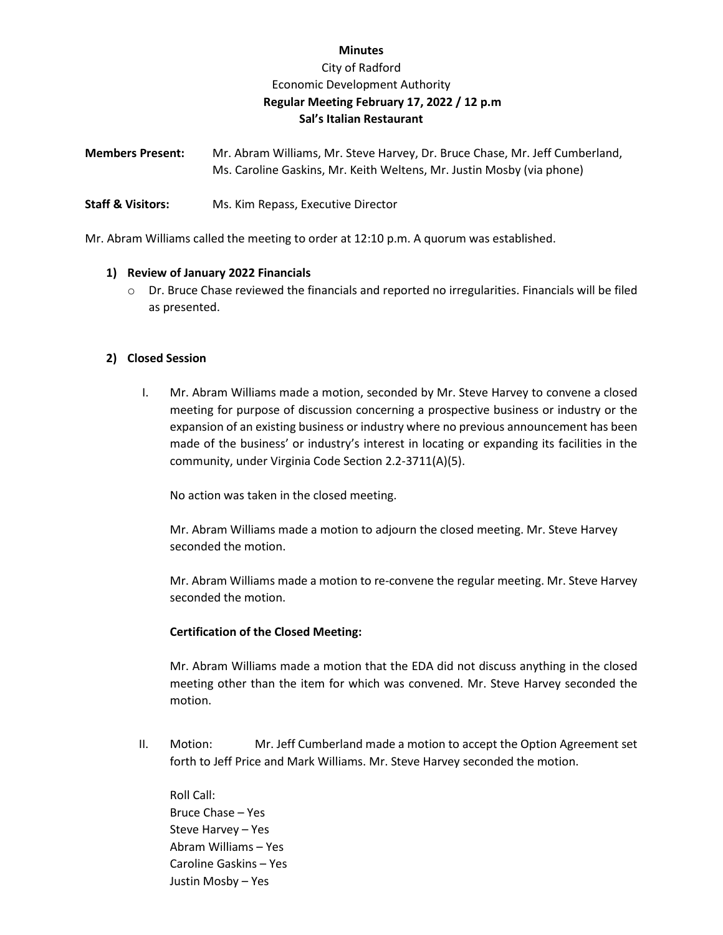## **Minutes**

# City of Radford Economic Development Authority **Regular Meeting February 17, 2022 / 12 p.m Sal's Italian Restaurant**

| <b>Members Present:</b> | Mr. Abram Williams, Mr. Steve Harvey, Dr. Bruce Chase, Mr. Jeff Cumberland, |
|-------------------------|-----------------------------------------------------------------------------|
|                         | Ms. Caroline Gaskins, Mr. Keith Weltens, Mr. Justin Mosby (via phone)       |

**Staff & Visitors:** Ms. Kim Repass, Executive Director

Mr. Abram Williams called the meeting to order at 12:10 p.m. A quorum was established.

## **1) Review of January 2022 Financials**

 $\circ$  Dr. Bruce Chase reviewed the financials and reported no irregularities. Financials will be filed as presented.

## **2) Closed Session**

I. Mr. Abram Williams made a motion, seconded by Mr. Steve Harvey to convene a closed meeting for purpose of discussion concerning a prospective business or industry or the expansion of an existing business or industry where no previous announcement has been made of the business' or industry's interest in locating or expanding its facilities in the community, under Virginia Code Section 2.2-3711(A)(5).

No action was taken in the closed meeting.

Mr. Abram Williams made a motion to adjourn the closed meeting. Mr. Steve Harvey seconded the motion.

Mr. Abram Williams made a motion to re-convene the regular meeting. Mr. Steve Harvey seconded the motion.

## **Certification of the Closed Meeting:**

Mr. Abram Williams made a motion that the EDA did not discuss anything in the closed meeting other than the item for which was convened. Mr. Steve Harvey seconded the motion.

II. Motion: Mr. Jeff Cumberland made a motion to accept the Option Agreement set forth to Jeff Price and Mark Williams. Mr. Steve Harvey seconded the motion.

Roll Call: Bruce Chase – Yes Steve Harvey – Yes Abram Williams – Yes Caroline Gaskins – Yes Justin Mosby – Yes